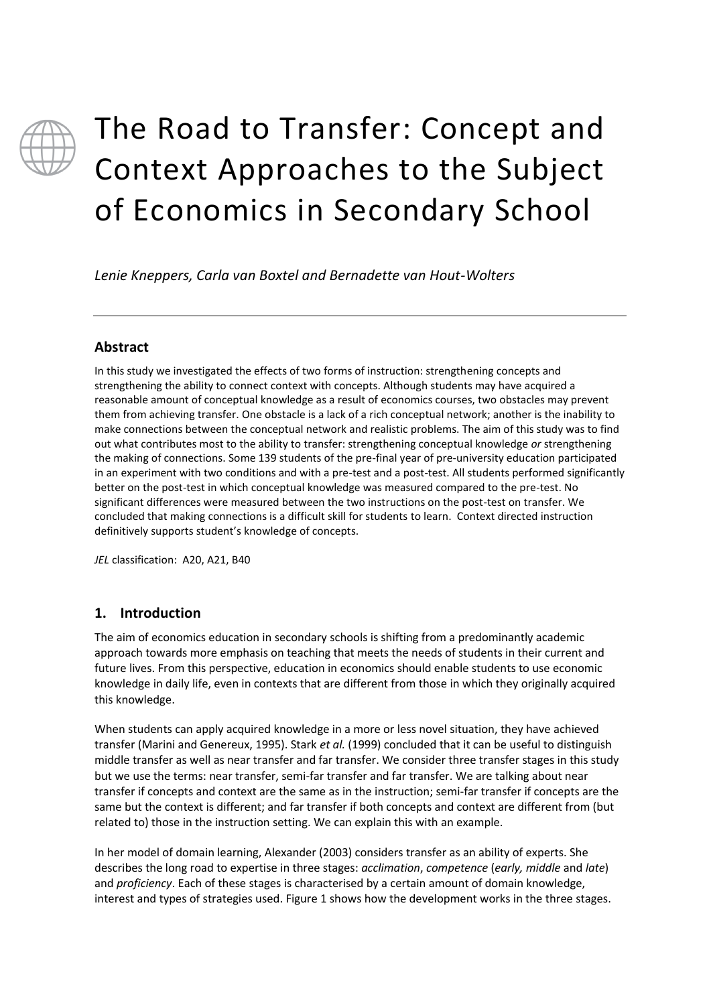

# The Road to Transfer: Concept and Context Approaches to the Subject of Economics in Secondary School

*Lenie Kneppers, Carla van Boxtel and Bernadette van Hout-Wolters*

## **Abstract**

In this study we investigated the effects of two forms of instruction: strengthening concepts and strengthening the ability to connect context with concepts. Although students may have acquired a reasonable amount of conceptual knowledge as a result of economics courses, two obstacles may prevent them from achieving transfer. One obstacle is a lack of a rich conceptual network; another is the inability to make connections between the conceptual network and realistic problems. The aim of this study was to find out what contributes most to the ability to transfer: strengthening conceptual knowledge *or* strengthening the making of connections. Some 139 students of the pre-final year of pre-university education participated in an experiment with two conditions and with a pre-test and a post-test. All students performed significantly better on the post-test in which conceptual knowledge was measured compared to the pre-test. No significant differences were measured between the two instructions on the post-test on transfer. We concluded that making connections is a difficult skill for students to learn. Context directed instruction definitively supports student's knowledge of concepts.

*JEL* classification: A20, A21, B40

## **1. Introduction**

The aim of economics education in secondary schools is shifting from a predominantly academic approach towards more emphasis on teaching that meets the needs of students in their current and future lives. From this perspective, education in economics should enable students to use economic knowledge in daily life, even in contexts that are different from those in which they originally acquired this knowledge.

When students can apply acquired knowledge in a more or less novel situation, they have achieved transfer (Marini and Genereux, 1995). Stark *et al.* (1999) concluded that it can be useful to distinguish middle transfer as well as near transfer and far transfer. We consider three transfer stages in this study but we use the terms: near transfer, semi-far transfer and far transfer. We are talking about near transfer if concepts and context are the same as in the instruction; semi-far transfer if concepts are the same but the context is different; and far transfer if both concepts and context are different from (but related to) those in the instruction setting. We can explain this with an example.

In her model of domain learning, Alexander (2003) considers transfer as an ability of experts. She describes the long road to expertise in three stages: *acclimation*, *competence* (*early, middle* and *late*) and *proficiency*. Each of these stages is characterised by a certain amount of domain knowledge, interest and types of strategies used. Figure 1 shows how the development works in the three stages.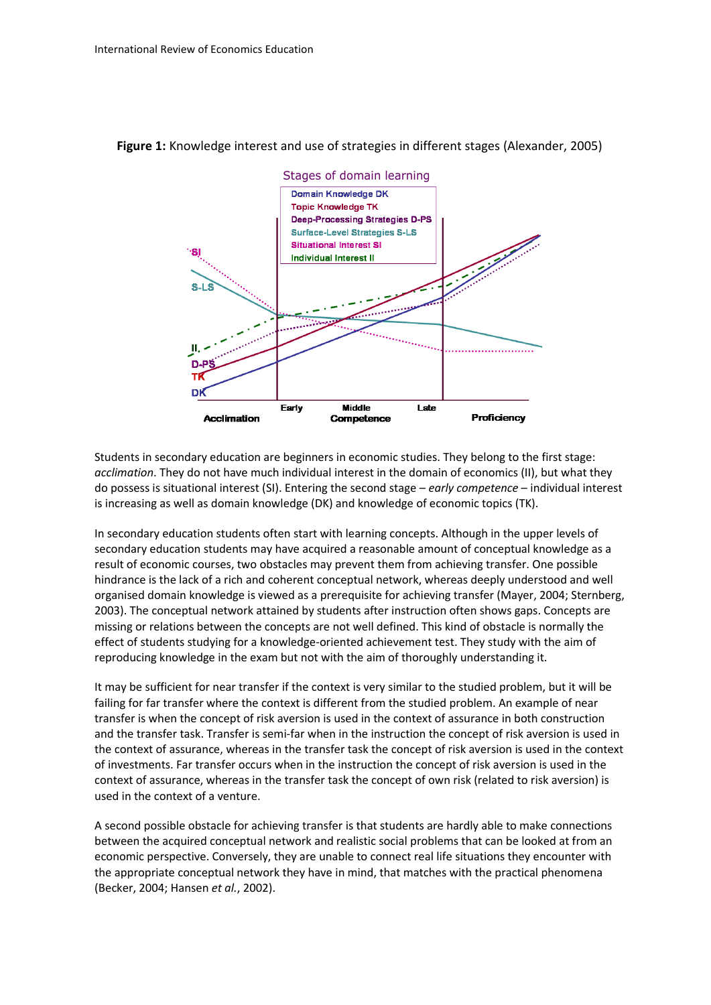

**Figure 1:** Knowledge interest and use of strategies in different stages (Alexander, 2005)

Students in secondary education are beginners in economic studies. They belong to the first stage: *acclimation*. They do not have much individual interest in the domain of economics (II), but what they do possess is situational interest (SI). Entering the second stage – *early competence* – individual interest is increasing as well as domain knowledge (DK) and knowledge of economic topics (TK).

In secondary education students often start with learning concepts. Although in the upper levels of secondary education students may have acquired a reasonable amount of conceptual knowledge as a result of economic courses, two obstacles may prevent them from achieving transfer. One possible hindrance is the lack of a rich and coherent conceptual network, whereas deeply understood and well organised domain knowledge is viewed as a prerequisite for achieving transfer (Mayer, 2004; Sternberg, 2003). The conceptual network attained by students after instruction often shows gaps. Concepts are missing or relations between the concepts are not well defined. This kind of obstacle is normally the effect of students studying for a knowledge-oriented achievement test. They study with the aim of reproducing knowledge in the exam but not with the aim of thoroughly understanding it.

It may be sufficient for near transfer if the context is very similar to the studied problem, but it will be failing for far transfer where the context is different from the studied problem. An example of near transfer is when the concept of risk aversion is used in the context of assurance in both construction and the transfer task. Transfer is semi-far when in the instruction the concept of risk aversion is used in the context of assurance, whereas in the transfer task the concept of risk aversion is used in the context of investments. Far transfer occurs when in the instruction the concept of risk aversion is used in the context of assurance, whereas in the transfer task the concept of own risk (related to risk aversion) is used in the context of a venture.

A second possible obstacle for achieving transfer is that students are hardly able to make connections between the acquired conceptual network and realistic social problems that can be looked at from an economic perspective. Conversely, they are unable to connect real life situations they encounter with the appropriate conceptual network they have in mind, that matches with the practical phenomena (Becker, 2004; Hansen *et al.*, 2002).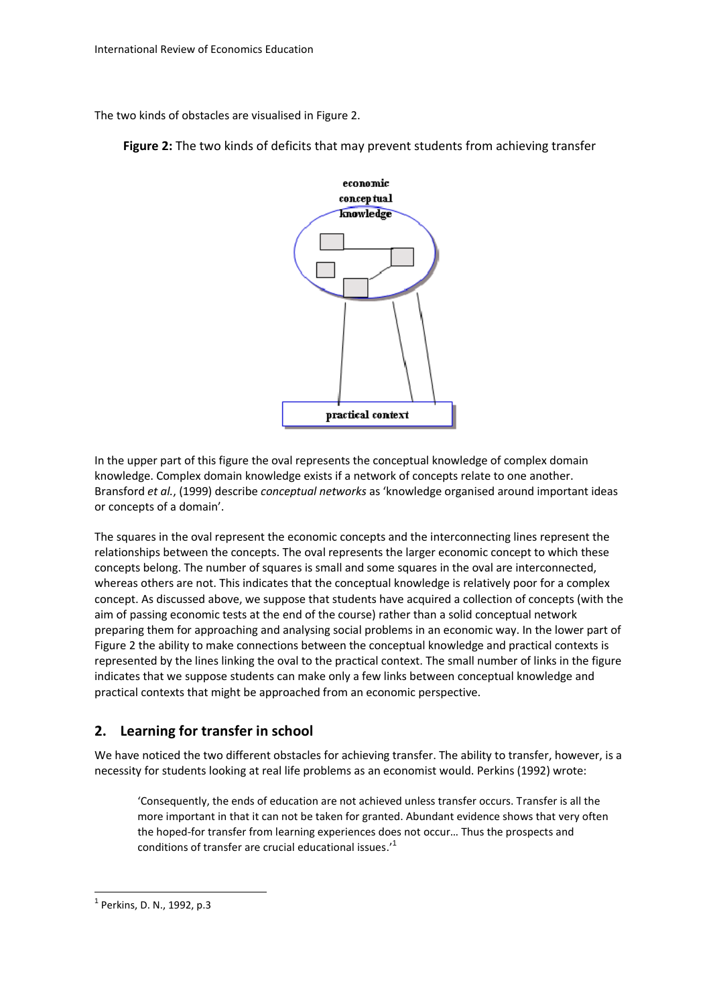The two kinds of obstacles are visualised in Figure 2.

**Figure 2:** The two kinds of deficits that may prevent students from achieving transfer



In the upper part of this figure the oval represents the conceptual knowledge of complex domain knowledge. Complex domain knowledge exists if a network of concepts relate to one another. Bransford *et al.*, (1999) describe *conceptual networks* as 'knowledge organised around important ideas or concepts of a domain'.

The squares in the oval represent the economic concepts and the interconnecting lines represent the relationships between the concepts. The oval represents the larger economic concept to which these concepts belong. The number of squares is small and some squares in the oval are interconnected, whereas others are not. This indicates that the conceptual knowledge is relatively poor for a complex concept. As discussed above, we suppose that students have acquired a collection of concepts (with the aim of passing economic tests at the end of the course) rather than a solid conceptual network preparing them for approaching and analysing social problems in an economic way. In the lower part of Figure 2 the ability to make connections between the conceptual knowledge and practical contexts is represented by the lines linking the oval to the practical context. The small number of links in the figure indicates that we suppose students can make only a few links between conceptual knowledge and practical contexts that might be approached from an economic perspective.

# **2. Learning for transfer in school**

We have noticed the two different obstacles for achieving transfer. The ability to transfer, however, is a necessity for students looking at real life problems as an economist would. Perkins (1992) wrote:

'Consequently, the ends of education are not achieved unless transfer occurs. Transfer is all the more important in that it can not be taken for granted. Abundant evidence shows that very often the hoped-for transfer from learning experiences does not occur… Thus the prospects and conditions of transfer are crucial educational issues.'<sup>1</sup>

 $\overline{a}$ 

<sup>&</sup>lt;sup>1</sup> Perkins, D. N., 1992, p.3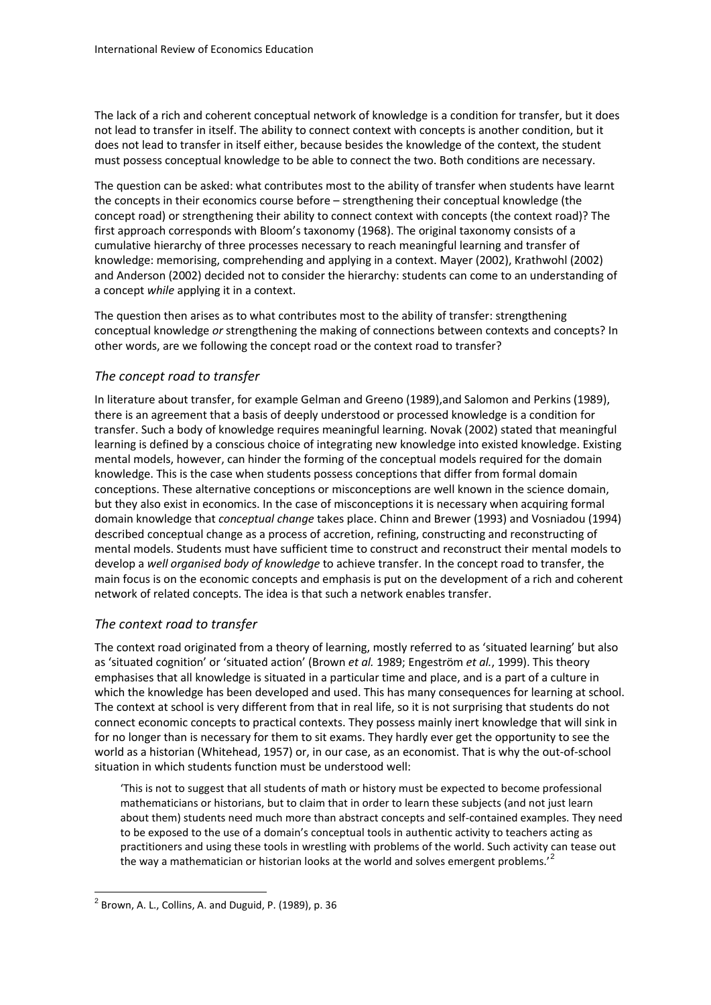The lack of a rich and coherent conceptual network of knowledge is a condition for transfer, but it does not lead to transfer in itself. The ability to connect context with concepts is another condition, but it does not lead to transfer in itself either, because besides the knowledge of the context, the student must possess conceptual knowledge to be able to connect the two. Both conditions are necessary.

The question can be asked: what contributes most to the ability of transfer when students have learnt the concepts in their economics course before – strengthening their conceptual knowledge (the concept road) or strengthening their ability to connect context with concepts (the context road)? The first approach corresponds with Bloom's taxonomy (1968). The original taxonomy consists of a cumulative hierarchy of three processes necessary to reach meaningful learning and transfer of knowledge: memorising, comprehending and applying in a context. Mayer (2002), Krathwohl (2002) and Anderson (2002) decided not to consider the hierarchy: students can come to an understanding of a concept *while* applying it in a context.

The question then arises as to what contributes most to the ability of transfer: strengthening conceptual knowledge *or* strengthening the making of connections between contexts and concepts? In other words, are we following the concept road or the context road to transfer?

### *The concept road to transfer*

In literature about transfer, for example Gelman and Greeno (1989), and Salomon and Perkins (1989), there is an agreement that a basis of deeply understood or processed knowledge is a condition for transfer. Such a body of knowledge requires meaningful learning. Novak (2002) stated that meaningful learning is defined by a conscious choice of integrating new knowledge into existed knowledge. Existing mental models, however, can hinder the forming of the conceptual models required for the domain knowledge. This is the case when students possess conceptions that differ from formal domain conceptions. These alternative conceptions or misconceptions are well known in the science domain, but they also exist in economics. In the case of misconceptions it is necessary when acquiring formal domain knowledge that *conceptual change* takes place. Chinn and Brewer (1993) and Vosniadou (1994) described conceptual change as a process of accretion, refining, constructing and reconstructing of mental models. Students must have sufficient time to construct and reconstruct their mental models to develop a *well organised body of knowledge* to achieve transfer. In the concept road to transfer, the main focus is on the economic concepts and emphasis is put on the development of a rich and coherent network of related concepts. The idea is that such a network enables transfer.

## *The context road to transfer*

The context road originated from a theory of learning, mostly referred to as 'situated learning' but also as 'situated cognition' or 'situated action' (Brown *et al.* 1989; Engeström *et al.*, 1999). This theory emphasises that all knowledge is situated in a particular time and place, and is a part of a culture in which the knowledge has been developed and used. This has many consequences for learning at school. The context at school is very different from that in real life, so it is not surprising that students do not connect economic concepts to practical contexts. They possess mainly inert knowledge that will sink in for no longer than is necessary for them to sit exams. They hardly ever get the opportunity to see the world as a historian (Whitehead, 1957) or, in our case, as an economist. That is why the out-of-school situation in which students function must be understood well:

'This is not to suggest that all students of math or history must be expected to become professional mathematicians or historians, but to claim that in order to learn these subjects (and not just learn about them) students need much more than abstract concepts and self-contained examples. They need to be exposed to the use of a domain's conceptual tools in authentic activity to teachers acting as practitioners and using these tools in wrestling with problems of the world. Such activity can tease out the way a mathematician or historian looks at the world and solves emergent problems.<sup>'2</sup>

 $\overline{a}$ 

 $^2$  Brown, A. L., Collins, A. and Duguid, P. (1989), p. 36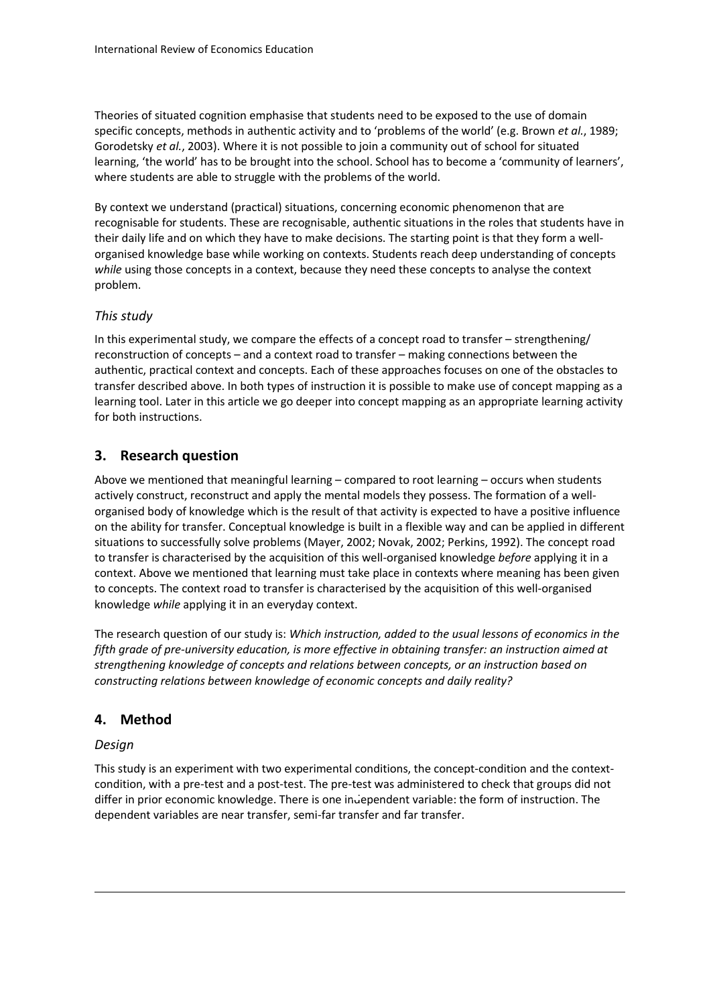Theories of situated cognition emphasise that students need to be exposed to the use of domain specific concepts, methods in authentic activity and to 'problems of the world' (e.g. Brown *et al.*, 1989; Gorodetsky *et al.*, 2003). Where it is not possible to join a community out of school for situated learning, 'the world' has to be brought into the school. School has to become a 'community of learners', where students are able to struggle with the problems of the world.

By context we understand (practical) situations, concerning economic phenomenon that are recognisable for students. These are recognisable, authentic situations in the roles that students have in their daily life and on which they have to make decisions. The starting point is that they form a wellorganised knowledge base while working on contexts. Students reach deep understanding of concepts *while* using those concepts in a context, because they need these concepts to analyse the context problem.

## *This study*

In this experimental study, we compare the effects of a concept road to transfer – strengthening/ reconstruction of concepts – and a context road to transfer – making connections between the authentic, practical context and concepts. Each of these approaches focuses on one of the obstacles to transfer described above. In both types of instruction it is possible to make use of concept mapping as a learning tool. Later in this article we go deeper into concept mapping as an appropriate learning activity for both instructions.

## **3. Research question**

Above we mentioned that meaningful learning – compared to root learning – occurs when students actively construct, reconstruct and apply the mental models they possess. The formation of a wellorganised body of knowledge which is the result of that activity is expected to have a positive influence on the ability for transfer. Conceptual knowledge is built in a flexible way and can be applied in different situations to successfully solve problems (Mayer, 2002; Novak, 2002; Perkins, 1992). The concept road to transfer is characterised by the acquisition of this well-organised knowledge *before* applying it in a context. Above we mentioned that learning must take place in contexts where meaning has been given to concepts. The context road to transfer is characterised by the acquisition of this well-organised knowledge *while* applying it in an everyday context.

The research question of our study is: *Which instruction, added to the usual lessons of economics in the fifth grade of pre-university education, is more effective in obtaining transfer: an instruction aimed at strengthening knowledge of concepts and relations between concepts, or an instruction based on constructing relations between knowledge of economic concepts and daily reality?* 

## **4. Method**

#### *Design*

 $\overline{a}$ 

This study is an experiment with two experimental conditions, the concept-condition and the contextcondition, with a pre-test and a post-test. The pre-test was administered to check that groups did not differ in prior economic knowledge. There is one independent variable: the form of instruction. The dependent variables are near transfer, semi-far transfer and far transfer.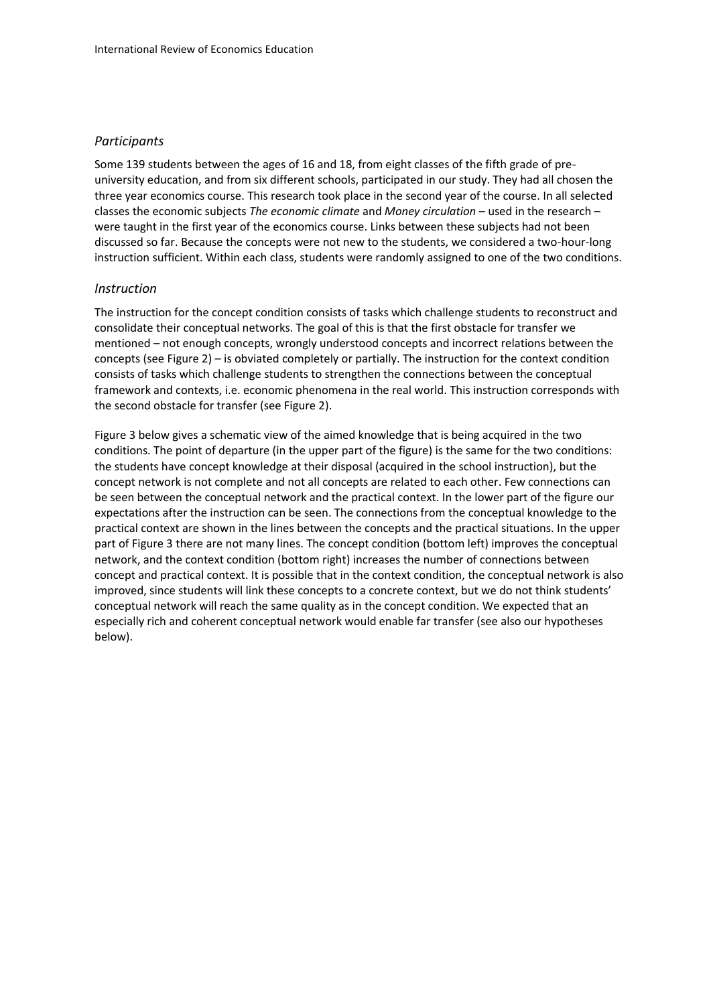#### *Participants*

Some 139 students between the ages of 16 and 18, from eight classes of the fifth grade of preuniversity education, and from six different schools, participated in our study. They had all chosen the three year economics course. This research took place in the second year of the course. In all selected classes the economic subjects *The economic climate* and *Money circulation –* used in the research – were taught in the first year of the economics course. Links between these subjects had not been discussed so far. Because the concepts were not new to the students, we considered a two-hour-long instruction sufficient. Within each class, students were randomly assigned to one of the two conditions.

#### *Instruction*

The instruction for the concept condition consists of tasks which challenge students to reconstruct and consolidate their conceptual networks. The goal of this is that the first obstacle for transfer we mentioned – not enough concepts, wrongly understood concepts and incorrect relations between the concepts (see Figure 2) – is obviated completely or partially. The instruction for the context condition consists of tasks which challenge students to strengthen the connections between the conceptual framework and contexts, i.e. economic phenomena in the real world. This instruction corresponds with the second obstacle for transfer (see Figure 2).

Figure 3 below gives a schematic view of the aimed knowledge that is being acquired in the two conditions. The point of departure (in the upper part of the figure) is the same for the two conditions: the students have concept knowledge at their disposal (acquired in the school instruction), but the concept network is not complete and not all concepts are related to each other. Few connections can be seen between the conceptual network and the practical context. In the lower part of the figure our expectations after the instruction can be seen. The connections from the conceptual knowledge to the practical context are shown in the lines between the concepts and the practical situations. In the upper part of Figure 3 there are not many lines. The concept condition (bottom left) improves the conceptual network, and the context condition (bottom right) increases the number of connections between concept and practical context. It is possible that in the context condition, the conceptual network is also improved, since students will link these concepts to a concrete context, but we do not think students' conceptual network will reach the same quality as in the concept condition. We expected that an especially rich and coherent conceptual network would enable far transfer (see also our hypotheses below).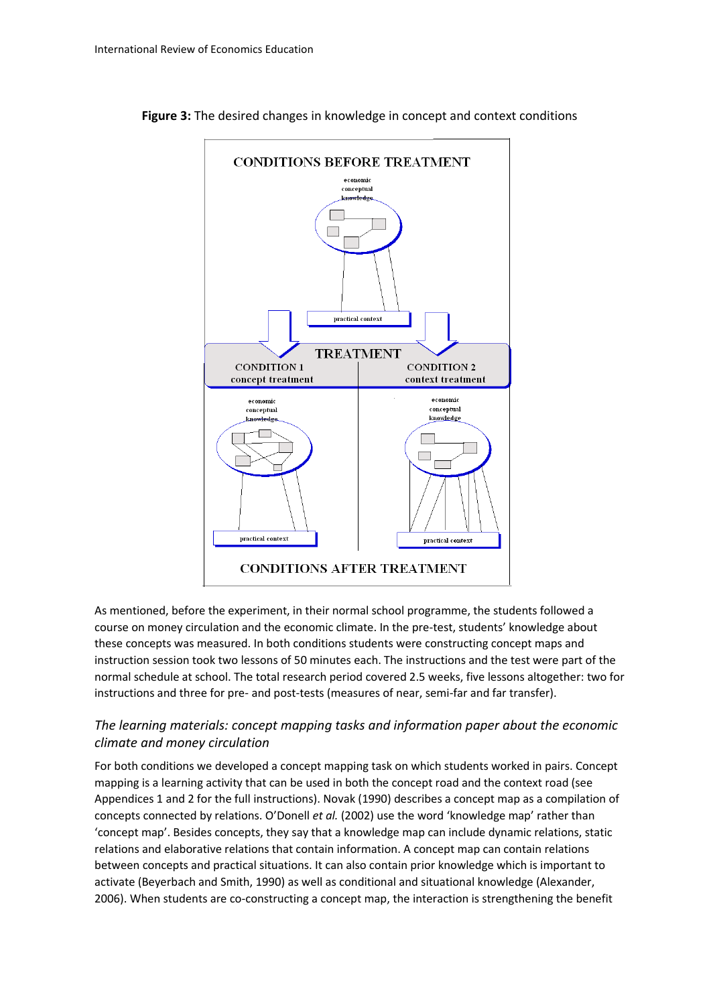

**Figure 3:** The desired changes in knowledge in concept and context conditions

As mentioned, before the experiment, in their normal school programme, the students followed a course on money circulation and the economic climate. In the pre-test, students' knowledge about these concepts was measured. In both conditions students were constructing concept maps and instruction session took two lessons of 50 minutes each. The instructions and the test were part of the normal schedule at school. The total research period covered 2.5 weeks, five lessons altogether: two for instructions and three for pre- and post-tests (measures of near, semi-far and far transfer).

## *The learning materials: concept mapping tasks and information paper about the economic climate and money circulation*

For both conditions we developed a concept mapping task on which students worked in pairs. Concept mapping is a learning activity that can be used in both the concept road and the context road (see Appendices 1 and 2 for the full instructions). Novak (1990) describes a concept map as a compilation of concepts connected by relations. O'Donell *et al.* (2002) use the word 'knowledge map' rather than 'concept map'. Besides concepts, they say that a knowledge map can include dynamic relations, static relations and elaborative relations that contain information. A concept map can contain relations between concepts and practical situations. It can also contain prior knowledge which is important to activate (Beyerbach and Smith, 1990) as well as conditional and situational knowledge (Alexander, 2006). When students are co-constructing a concept map, the interaction is strengthening the benefit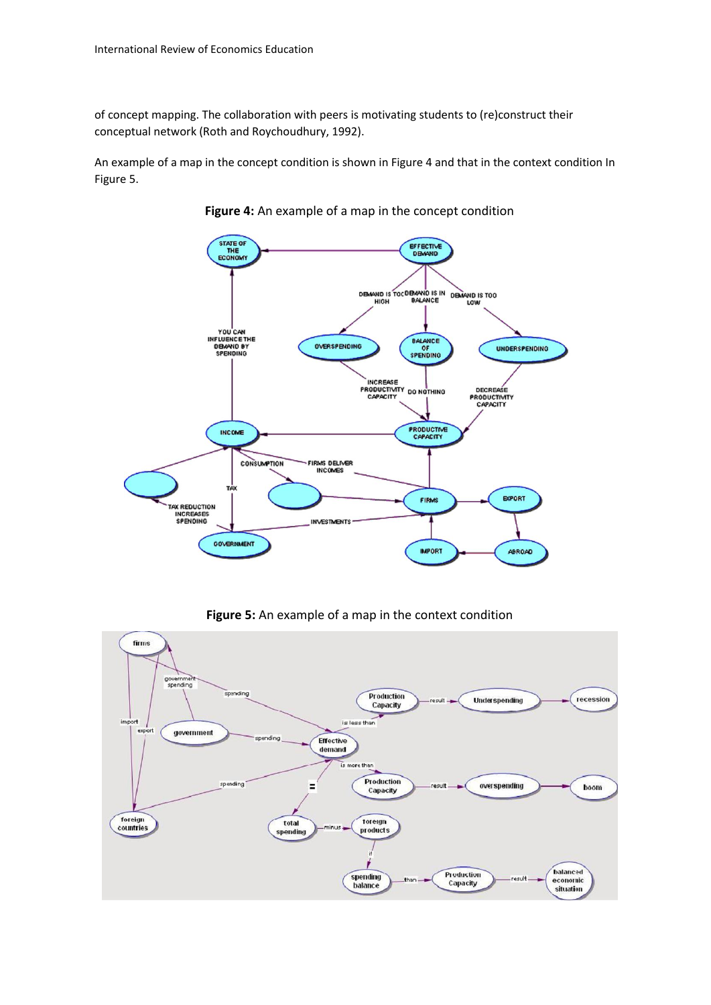of concept mapping. The collaboration with peers is motivating students to (re)construct their conceptual network (Roth and Roychoudhury, 1992).

An example of a map in the concept condition is shown in Figure 4 and that in the context condition In Figure 5.





**Figure 5:** An example of a map in the context condition

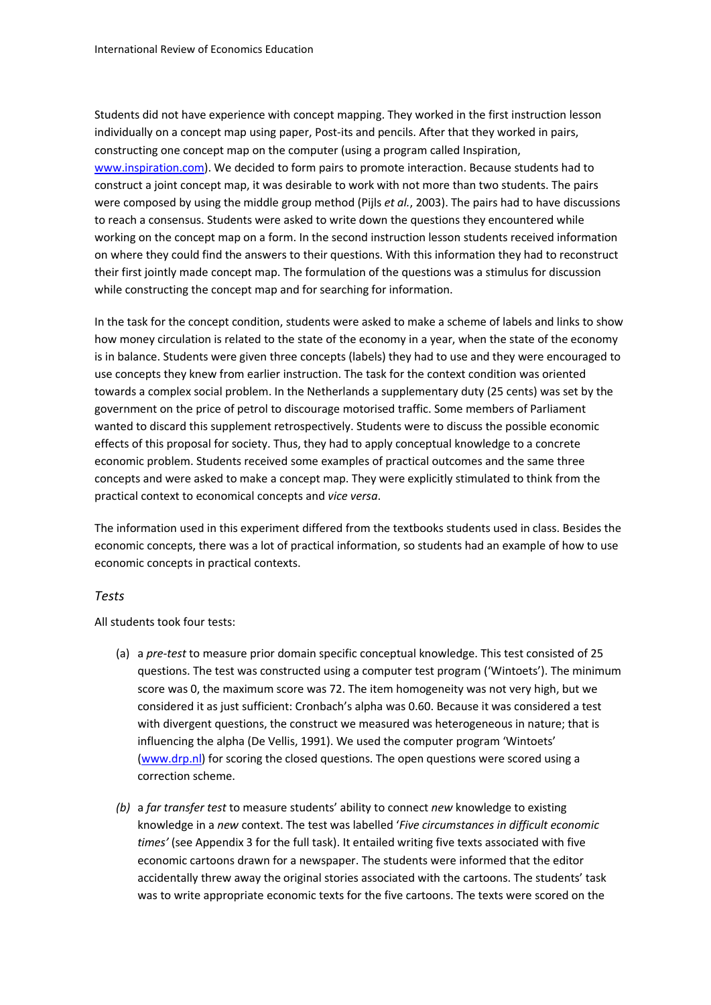Students did not have experience with concept mapping. They worked in the first instruction lesson individually on a concept map using paper, Post-its and pencils. After that they worked in pairs, constructing one concept map on the computer (using a program called Inspiration, [www.inspiration.com\)](http://www.inspiration.com/). We decided to form pairs to promote interaction. Because students had to construct a joint concept map, it was desirable to work with not more than two students. The pairs were composed by using the middle group method (Pijls *et al.*, 2003). The pairs had to have discussions to reach a consensus. Students were asked to write down the questions they encountered while working on the concept map on a form. In the second instruction lesson students received information on where they could find the answers to their questions. With this information they had to reconstruct their first jointly made concept map. The formulation of the questions was a stimulus for discussion while constructing the concept map and for searching for information.

In the task for the concept condition, students were asked to make a scheme of labels and links to show how money circulation is related to the state of the economy in a year, when the state of the economy is in balance. Students were given three concepts (labels) they had to use and they were encouraged to use concepts they knew from earlier instruction. The task for the context condition was oriented towards a complex social problem. In the Netherlands a supplementary duty (25 cents) was set by the government on the price of petrol to discourage motorised traffic. Some members of Parliament wanted to discard this supplement retrospectively. Students were to discuss the possible economic effects of this proposal for society. Thus, they had to apply conceptual knowledge to a concrete economic problem. Students received some examples of practical outcomes and the same three concepts and were asked to make a concept map. They were explicitly stimulated to think from the practical context to economical concepts and *vice versa*.

The information used in this experiment differed from the textbooks students used in class. Besides the economic concepts, there was a lot of practical information, so students had an example of how to use economic concepts in practical contexts.

#### *Tests*

All students took four tests:

- (a) a *pre-test* to measure prior domain specific conceptual knowledge. This test consisted of 25 questions. The test was constructed using a computer test program ('Wintoets'). The minimum score was 0, the maximum score was 72. The item homogeneity was not very high, but we considered it as just sufficient: Cronbach's alpha was 0.60. Because it was considered a test with divergent questions, the construct we measured was heterogeneous in nature; that is influencing the alpha (De Vellis, 1991). We used the computer program 'Wintoets' [\(www.drp.nl\)](http://www.drp.nl/) for scoring the closed questions. The open questions were scored using a correction scheme.
- *(b)* a *far transfer test* to measure students' ability to connect *new* knowledge to existing knowledge in a *new* context. The test was labelled '*Five circumstances in difficult economic times'* (see Appendix 3 for the full task). It entailed writing five texts associated with five economic cartoons drawn for a newspaper. The students were informed that the editor accidentally threw away the original stories associated with the cartoons. The students' task was to write appropriate economic texts for the five cartoons. The texts were scored on the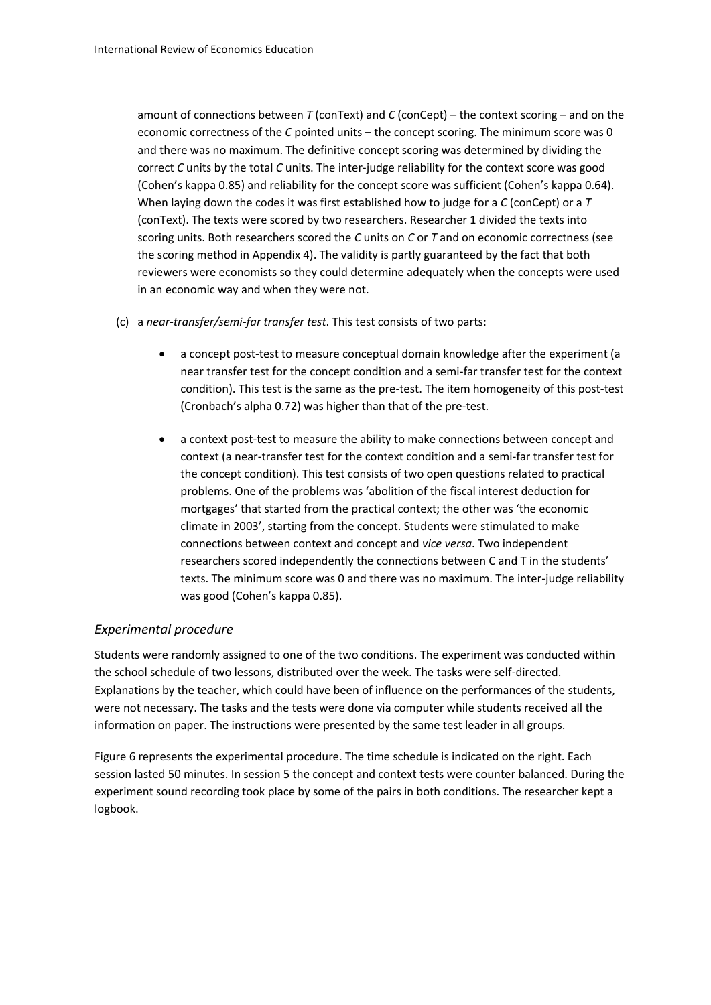amount of connections between *T* (conText) and *C* (conCept) – the context scoring – and on the economic correctness of the *C* pointed units – the concept scoring. The minimum score was 0 and there was no maximum. The definitive concept scoring was determined by dividing the correct *C* units by the total *C* units. The inter-judge reliability for the context score was good (Cohen's kappa 0.85) and reliability for the concept score was sufficient (Cohen's kappa 0.64). When laying down the codes it was first established how to judge for a *C* (conCept) or a *T* (conText). The texts were scored by two researchers. Researcher 1 divided the texts into scoring units. Both researchers scored the *C* units on *C* or *T* and on economic correctness (see the scoring method in Appendix 4). The validity is partly guaranteed by the fact that both reviewers were economists so they could determine adequately when the concepts were used in an economic way and when they were not.

- (c) a *near-transfer/semi-far transfer test*. This test consists of two parts:
	- a concept post-test to measure conceptual domain knowledge after the experiment (a near transfer test for the concept condition and a semi-far transfer test for the context condition). This test is the same as the pre-test. The item homogeneity of this post-test (Cronbach's alpha 0.72) was higher than that of the pre-test.
	- a context post-test to measure the ability to make connections between concept and context (a near-transfer test for the context condition and a semi-far transfer test for the concept condition). This test consists of two open questions related to practical problems. One of the problems was 'abolition of the fiscal interest deduction for mortgages' that started from the practical context; the other was 'the economic climate in 2003', starting from the concept. Students were stimulated to make connections between context and concept and *vice versa*. Two independent researchers scored independently the connections between C and T in the students' texts. The minimum score was 0 and there was no maximum. The inter-judge reliability was good (Cohen's kappa 0.85).

#### *Experimental procedure*

Students were randomly assigned to one of the two conditions. The experiment was conducted within the school schedule of two lessons, distributed over the week. The tasks were self-directed. Explanations by the teacher, which could have been of influence on the performances of the students, were not necessary. The tasks and the tests were done via computer while students received all the information on paper. The instructions were presented by the same test leader in all groups.

Figure 6 represents the experimental procedure. The time schedule is indicated on the right. Each session lasted 50 minutes. In session 5 the concept and context tests were counter balanced. During the experiment sound recording took place by some of the pairs in both conditions. The researcher kept a logbook.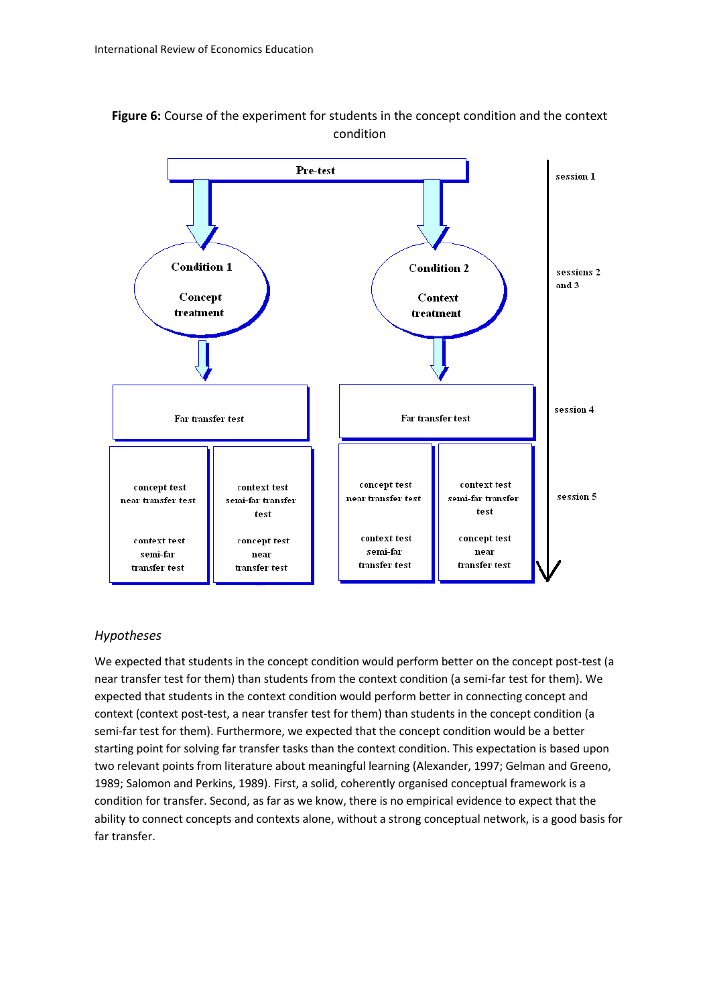



#### *Hypotheses*

We expected that students in the concept condition would perform better on the concept post-test (a near transfer test for them) than students from the context condition (a semi-far test for them). We expected that students in the context condition would perform better in connecting concept and context (context post-test, a near transfer test for them) than students in the concept condition (a semi-far test for them). Furthermore, we expected that the concept condition would be a better starting point for solving far transfer tasks than the context condition. This expectation is based upon two relevant points from literature about meaningful learning (Alexander, 1997; Gelman and Greeno, 1989; Salomon and Perkins, 1989). First, a solid, coherently organised conceptual framework is a condition for transfer. Second, as far as we know, there is no empirical evidence to expect that the ability to connect concepts and contexts alone, without a strong conceptual network, is a good basis for far transfer.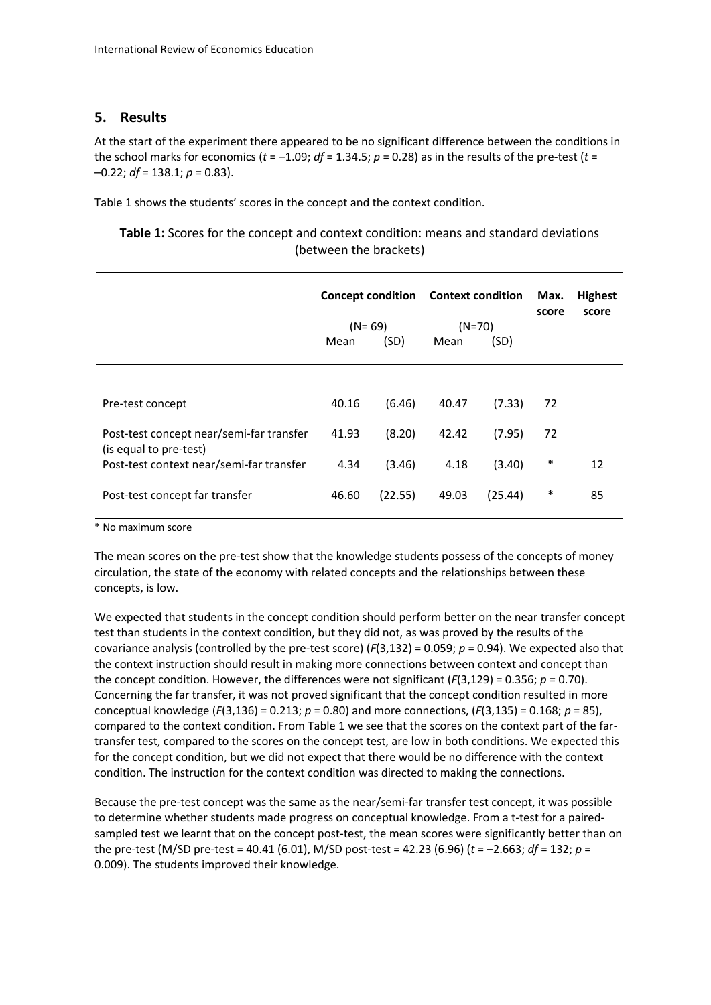## **5. Results**

At the start of the experiment there appeared to be no significant difference between the conditions in the school marks for economics ( $t = -1.09$ ;  $df = 1.34.5$ ;  $p = 0.28$ ) as in the results of the pre-test ( $t =$  $-0.22$ ; *df* = 138.1; *p* = 0.83).

Table 1 shows the students' scores in the concept and the context condition.

## **Table 1:** Scores for the concept and context condition: means and standard deviations (between the brackets)

|                                                                    | <b>Concept condition</b> |         | <b>Context condition</b> |         | Max.<br>score | <b>Highest</b><br>score |
|--------------------------------------------------------------------|--------------------------|---------|--------------------------|---------|---------------|-------------------------|
|                                                                    | $(N = 69)$<br>Mean       | (SD)    | $(N=70)$<br>Mean         | (SD)    |               |                         |
|                                                                    |                          |         |                          |         |               |                         |
| Pre-test concept                                                   | 40.16                    | (6.46)  | 40.47                    | (7.33)  | 72            |                         |
| Post-test concept near/semi-far transfer<br>(is equal to pre-test) | 41.93                    | (8.20)  | 42.42                    | (7.95)  | 72            |                         |
| Post-test context near/semi-far transfer                           | 4.34                     | (3.46)  | 4.18                     | (3.40)  | ∗             | 12                      |
| Post-test concept far transfer                                     | 46.60                    | (22.55) | 49.03                    | (25.44) | *             | 85                      |

\* No maximum score

The mean scores on the pre-test show that the knowledge students possess of the concepts of money circulation, the state of the economy with related concepts and the relationships between these concepts, is low.

We expected that students in the concept condition should perform better on the near transfer concept test than students in the context condition, but they did not, as was proved by the results of the covariance analysis (controlled by the pre-test score) (*F*(3,132) = 0.059; *p* = 0.94). We expected also that the context instruction should result in making more connections between context and concept than the concept condition. However, the differences were not significant  $(F(3,129) = 0.356; p = 0.70)$ . Concerning the far transfer, it was not proved significant that the concept condition resulted in more conceptual knowledge (*F*(3,136) = 0.213; *p* = 0.80) and more connections, (*F*(3,135) = 0.168; *p* = 85), compared to the context condition. From Table 1 we see that the scores on the context part of the fartransfer test, compared to the scores on the concept test, are low in both conditions. We expected this for the concept condition, but we did not expect that there would be no difference with the context condition. The instruction for the context condition was directed to making the connections.

Because the pre-test concept was the same as the near/semi-far transfer test concept, it was possible to determine whether students made progress on conceptual knowledge. From a t-test for a pairedsampled test we learnt that on the concept post-test, the mean scores were significantly better than on the pre-test (M/SD pre-test = 40.41 (6.01), M/SD post-test = 42.23 (6.96) (*t* = –2.663; *df* = 132; *p* = 0.009). The students improved their knowledge.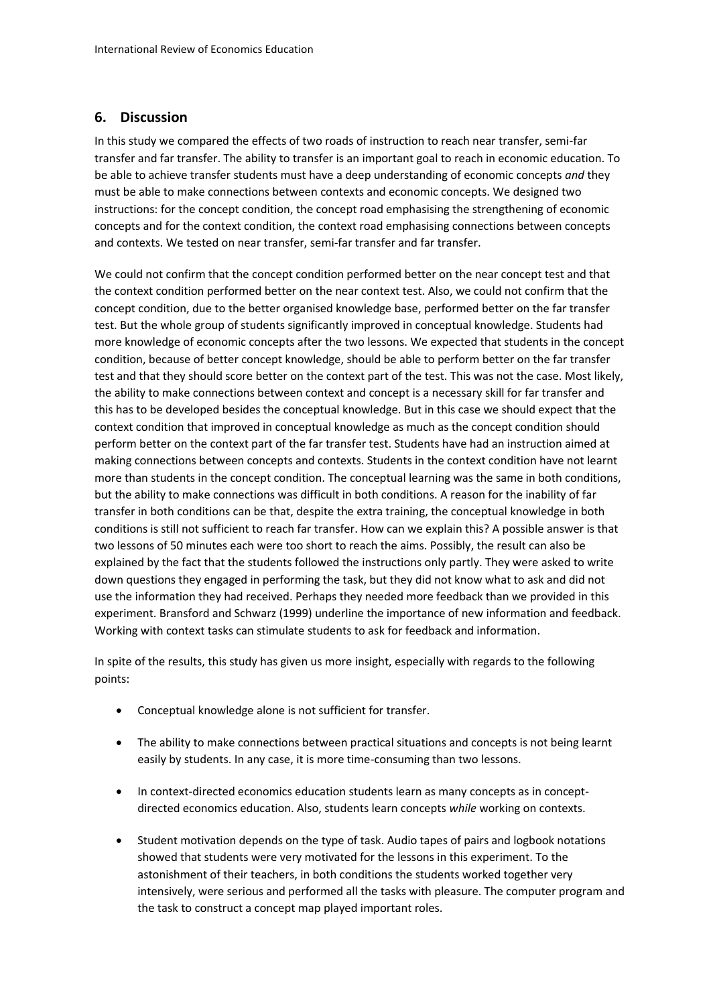## **6. Discussion**

In this study we compared the effects of two roads of instruction to reach near transfer, semi-far transfer and far transfer. The ability to transfer is an important goal to reach in economic education. To be able to achieve transfer students must have a deep understanding of economic concepts *and* they must be able to make connections between contexts and economic concepts. We designed two instructions: for the concept condition, the concept road emphasising the strengthening of economic concepts and for the context condition, the context road emphasising connections between concepts and contexts. We tested on near transfer, semi-far transfer and far transfer.

We could not confirm that the concept condition performed better on the near concept test and that the context condition performed better on the near context test. Also, we could not confirm that the concept condition, due to the better organised knowledge base, performed better on the far transfer test. But the whole group of students significantly improved in conceptual knowledge. Students had more knowledge of economic concepts after the two lessons. We expected that students in the concept condition, because of better concept knowledge, should be able to perform better on the far transfer test and that they should score better on the context part of the test. This was not the case. Most likely, the ability to make connections between context and concept is a necessary skill for far transfer and this has to be developed besides the conceptual knowledge. But in this case we should expect that the context condition that improved in conceptual knowledge as much as the concept condition should perform better on the context part of the far transfer test. Students have had an instruction aimed at making connections between concepts and contexts. Students in the context condition have not learnt more than students in the concept condition. The conceptual learning was the same in both conditions, but the ability to make connections was difficult in both conditions. A reason for the inability of far transfer in both conditions can be that, despite the extra training, the conceptual knowledge in both conditions is still not sufficient to reach far transfer. How can we explain this? A possible answer is that two lessons of 50 minutes each were too short to reach the aims. Possibly, the result can also be explained by the fact that the students followed the instructions only partly. They were asked to write down questions they engaged in performing the task, but they did not know what to ask and did not use the information they had received. Perhaps they needed more feedback than we provided in this experiment. Bransford and Schwarz (1999) underline the importance of new information and feedback. Working with context tasks can stimulate students to ask for feedback and information.

In spite of the results, this study has given us more insight, especially with regards to the following points:

- Conceptual knowledge alone is not sufficient for transfer.
- The ability to make connections between practical situations and concepts is not being learnt easily by students. In any case, it is more time-consuming than two lessons.
- In context-directed economics education students learn as many concepts as in conceptdirected economics education. Also, students learn concepts *while* working on contexts.
- Student motivation depends on the type of task. Audio tapes of pairs and logbook notations showed that students were very motivated for the lessons in this experiment. To the astonishment of their teachers, in both conditions the students worked together very intensively, were serious and performed all the tasks with pleasure. The computer program and the task to construct a concept map played important roles.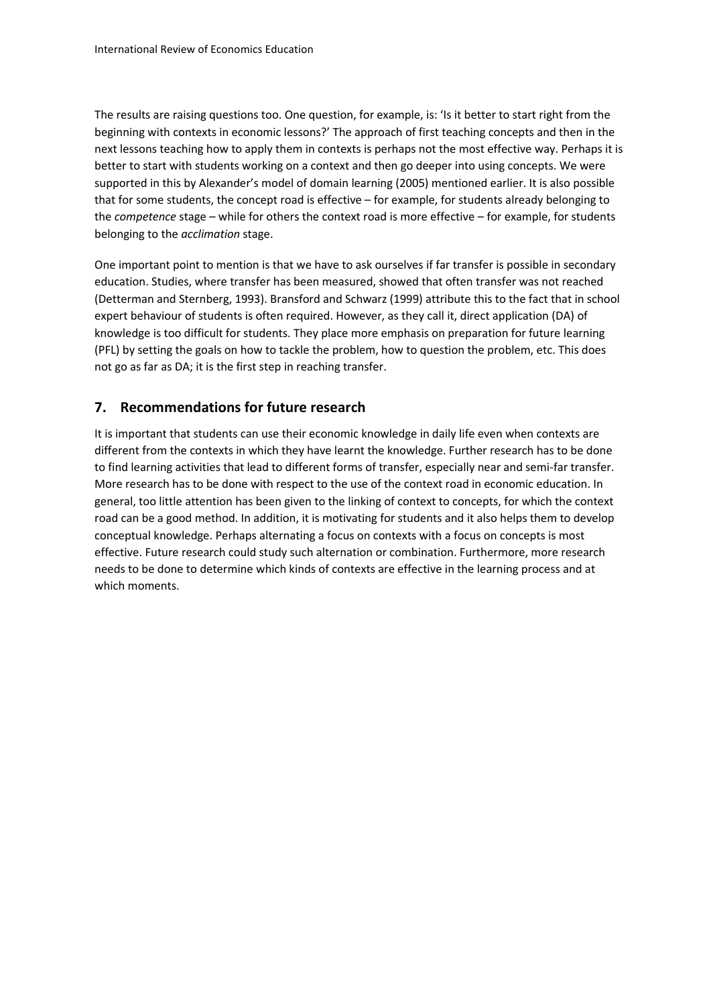The results are raising questions too. One question, for example, is: 'Is it better to start right from the beginning with contexts in economic lessons?' The approach of first teaching concepts and then in the next lessons teaching how to apply them in contexts is perhaps not the most effective way. Perhaps it is better to start with students working on a context and then go deeper into using concepts. We were supported in this by Alexander's model of domain learning (2005) mentioned earlier. It is also possible that for some students, the concept road is effective – for example, for students already belonging to the *competence* stage – while for others the context road is more effective – for example, for students belonging to the *acclimation* stage.

One important point to mention is that we have to ask ourselves if far transfer is possible in secondary education. Studies, where transfer has been measured, showed that often transfer was not reached (Detterman and Sternberg, 1993). Bransford and Schwarz (1999) attribute this to the fact that in school expert behaviour of students is often required. However, as they call it, direct application (DA) of knowledge is too difficult for students. They place more emphasis on preparation for future learning (PFL) by setting the goals on how to tackle the problem, how to question the problem, etc. This does not go as far as DA; it is the first step in reaching transfer.

## **7. Recommendations for future research**

It is important that students can use their economic knowledge in daily life even when contexts are different from the contexts in which they have learnt the knowledge. Further research has to be done to find learning activities that lead to different forms of transfer, especially near and semi-far transfer. More research has to be done with respect to the use of the context road in economic education. In general, too little attention has been given to the linking of context to concepts, for which the context road can be a good method. In addition, it is motivating for students and it also helps them to develop conceptual knowledge. Perhaps alternating a focus on contexts with a focus on concepts is most effective. Future research could study such alternation or combination. Furthermore, more research needs to be done to determine which kinds of contexts are effective in the learning process and at which moments.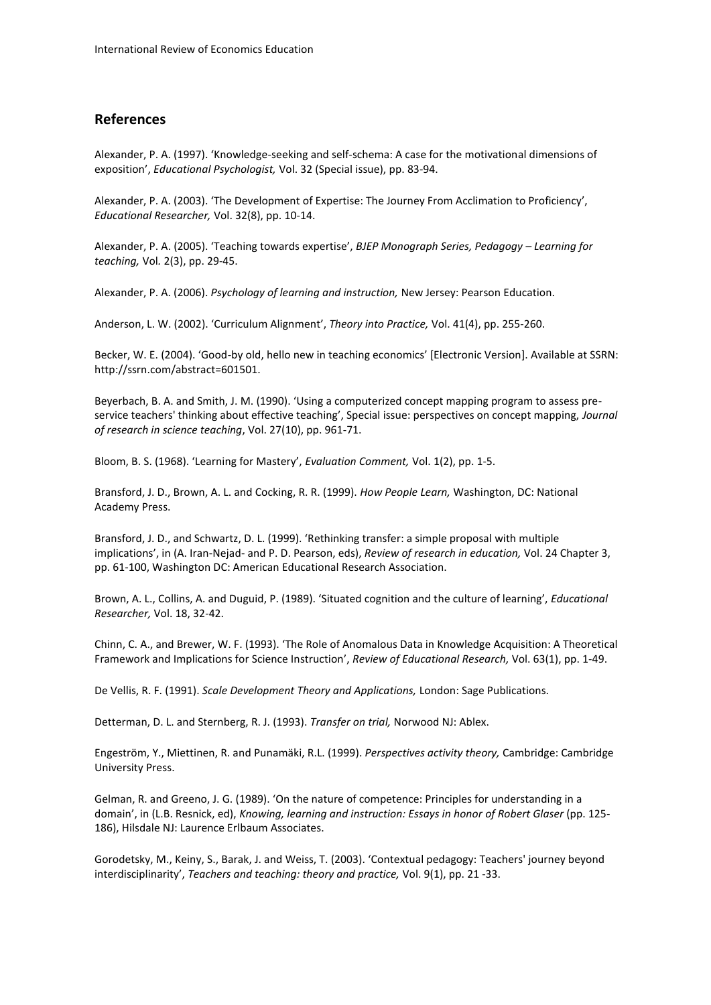#### **References**

Alexander, P. A. (1997). 'Knowledge-seeking and self-schema: A case for the motivational dimensions of exposition', *Educational Psychologist,* Vol. 32 (Special issue), pp. 83-94.

Alexander, P. A. (2003). 'The Development of Expertise: The Journey From Acclimation to Proficiency', *Educational Researcher,* Vol. 32(8), pp. 10-14.

Alexander, P. A. (2005). 'Teaching towards expertise', *BJEP Monograph Series, Pedagogy – Learning for teaching,* Vol*.* 2(3), pp. 29-45.

Alexander, P. A. (2006). *Psychology of learning and instruction,* New Jersey: Pearson Education.

Anderson, L. W. (2002). 'Curriculum Alignment', *Theory into Practice,* Vol. 41(4), pp. 255-260.

Becker, W. E. (2004). 'Good-by old, hello new in teaching economics' [Electronic Version]. Available at SSRN: http://ssrn.com/abstract=601501.

Beyerbach, B. A. and Smith, J. M. (1990). 'Using a computerized concept mapping program to assess preservice teachers' thinking about effective teaching', Special issue: perspectives on concept mapping, *Journal of research in science teaching*, Vol. 27(10), pp. 961-71.

Bloom, B. S. (1968). 'Learning for Mastery', *Evaluation Comment,* Vol. 1(2), pp. 1-5.

Bransford, J. D., Brown, A. L. and Cocking, R. R. (1999). *How People Learn,* Washington, DC: National Academy Press.

Bransford, J. D., and Schwartz, D. L. (1999). 'Rethinking transfer: a simple proposal with multiple implications', in (A. Iran-Nejad- and P. D. Pearson, eds), *Review of research in education,* Vol. 24 Chapter 3, pp. 61-100, Washington DC: American Educational Research Association.

Brown, A. L., Collins, A. and Duguid, P. (1989). 'Situated cognition and the culture of learning', *Educational Researcher,* Vol. 18, 32-42.

Chinn, C. A., and Brewer, W. F. (1993). 'The Role of Anomalous Data in Knowledge Acquisition: A Theoretical Framework and Implications for Science Instruction', *Review of Educational Research,* Vol. 63(1), pp. 1-49.

De Vellis, R. F. (1991). *Scale Development Theory and Applications,* London: Sage Publications.

Detterman, D. L. and Sternberg, R. J. (1993). *Transfer on trial,* Norwood NJ: Ablex.

Engeström, Y., Miettinen, R. and Punamäki, R.L. (1999). *Perspectives activity theory,* Cambridge: Cambridge University Press.

Gelman, R. and Greeno, J. G. (1989). 'On the nature of competence: Principles for understanding in a domain', in (L.B. Resnick, ed), *Knowing, learning and instruction: Essays in honor of Robert Glaser* (pp. 125- 186), Hilsdale NJ: Laurence Erlbaum Associates.

Gorodetsky, M., Keiny, S., Barak, J. and Weiss, T. (2003). 'Contextual pedagogy: Teachers' journey beyond interdisciplinarity', *Teachers and teaching: theory and practice,* Vol. 9(1), pp. 21 -33.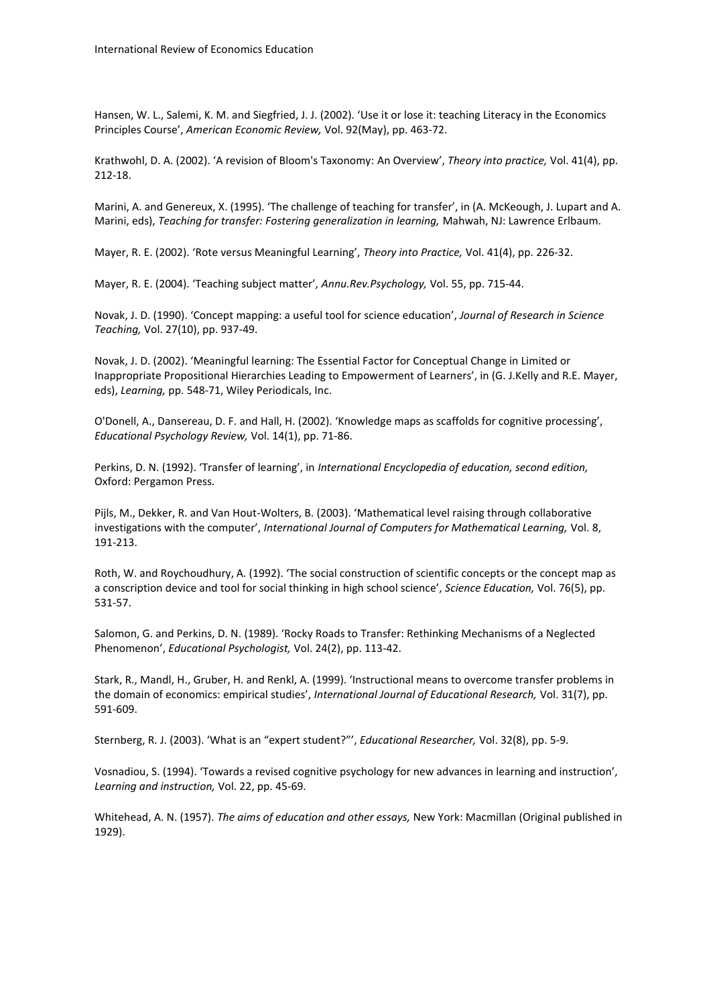Hansen, W. L., Salemi, K. M. and Siegfried, J. J. (2002). 'Use it or lose it: teaching Literacy in the Economics Principles Course', *American Economic Review,* Vol. 92(May), pp. 463-72.

Krathwohl, D. A. (2002). 'A revision of Bloom's Taxonomy: An Overview', *Theory into practice,* Vol. 41(4), pp. 212-18.

Marini, A. and Genereux, X. (1995). 'The challenge of teaching for transfer', in (A. McKeough, J. Lupart and A. Marini, eds), *Teaching for transfer: Fostering generalization in learning,* Mahwah, NJ: Lawrence Erlbaum.

Mayer, R. E. (2002). 'Rote versus Meaningful Learning', *Theory into Practice,* Vol. 41(4), pp. 226-32.

Mayer, R. E. (2004). 'Teaching subject matter', *Annu.Rev.Psychology,* Vol. 55, pp. 715-44.

Novak, J. D. (1990). 'Concept mapping: a useful tool for science education', *Journal of Research in Science Teaching,* Vol. 27(10), pp. 937-49.

Novak, J. D. (2002). 'Meaningful learning: The Essential Factor for Conceptual Change in Limited or Inappropriate Propositional Hierarchies Leading to Empowerment of Learners', in (G. J.Kelly and R.E. Mayer, eds), *Learning,* pp. 548-71, Wiley Periodicals, Inc.

O'Donell, A., Dansereau, D. F. and Hall, H. (2002). 'Knowledge maps as scaffolds for cognitive processing', *Educational Psychology Review,* Vol. 14(1), pp. 71-86.

Perkins, D. N. (1992). 'Transfer of learning', in *International Encyclopedia of education, second edition,* Oxford: Pergamon Press.

Pijls, M., Dekker, R. and Van Hout-Wolters, B. (2003). 'Mathematical level raising through collaborative investigations with the computer', *International Journal of Computers for Mathematical Learning,* Vol. 8, 191-213.

Roth, W. and Roychoudhury, A. (1992). 'The social construction of scientific concepts or the concept map as a conscription device and tool for social thinking in high school science', *Science Education,* Vol. 76(5), pp. 531-57.

Salomon, G. and Perkins, D. N. (1989). 'Rocky Roads to Transfer: Rethinking Mechanisms of a Neglected Phenomenon', *Educational Psychologist,* Vol. 24(2), pp. 113-42.

Stark, R., Mandl, H., Gruber, H. and Renkl, A. (1999). 'Instructional means to overcome transfer problems in the domain of economics: empirical studies', *International Journal of Educational Research,* Vol. 31(7), pp. 591-609.

Sternberg, R. J. (2003). 'What is an "expert student?"', *Educational Researcher,* Vol. 32(8), pp. 5-9.

Vosnadiou, S. (1994). 'Towards a revised cognitive psychology for new advances in learning and instruction', *Learning and instruction,* Vol. 22, pp. 45-69.

Whitehead, A. N. (1957). *The aims of education and other essays,* New York: Macmillan (Original published in 1929).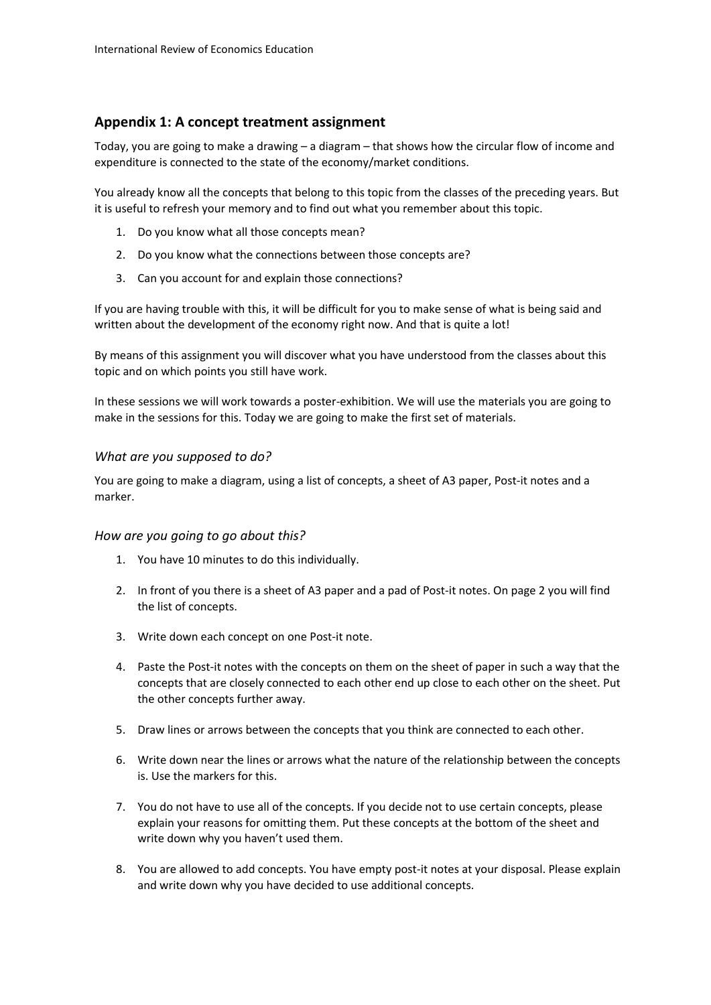## **Appendix 1: A concept treatment assignment**

Today, you are going to make a drawing – a diagram – that shows how the circular flow of income and expenditure is connected to the state of the economy/market conditions.

You already know all the concepts that belong to this topic from the classes of the preceding years. But it is useful to refresh your memory and to find out what you remember about this topic.

- 1. Do you know what all those concepts mean?
- 2. Do you know what the connections between those concepts are?
- 3. Can you account for and explain those connections?

If you are having trouble with this, it will be difficult for you to make sense of what is being said and written about the development of the economy right now. And that is quite a lot!

By means of this assignment you will discover what you have understood from the classes about this topic and on which points you still have work.

In these sessions we will work towards a poster-exhibition. We will use the materials you are going to make in the sessions for this. Today we are going to make the first set of materials.

#### *What are you supposed to do?*

You are going to make a diagram, using a list of concepts, a sheet of A3 paper, Post-it notes and a marker.

#### *How are you going to go about this?*

- 1. You have 10 minutes to do this individually.
- 2. In front of you there is a sheet of A3 paper and a pad of Post-it notes. On page 2 you will find the list of concepts.
- 3. Write down each concept on one Post-it note.
- 4. Paste the Post-it notes with the concepts on them on the sheet of paper in such a way that the concepts that are closely connected to each other end up close to each other on the sheet. Put the other concepts further away.
- 5. Draw lines or arrows between the concepts that you think are connected to each other.
- 6. Write down near the lines or arrows what the nature of the relationship between the concepts is. Use the markers for this.
- 7. You do not have to use all of the concepts. If you decide not to use certain concepts, please explain your reasons for omitting them. Put these concepts at the bottom of the sheet and write down why you haven't used them.
- 8. You are allowed to add concepts. You have empty post-it notes at your disposal. Please explain and write down why you have decided to use additional concepts.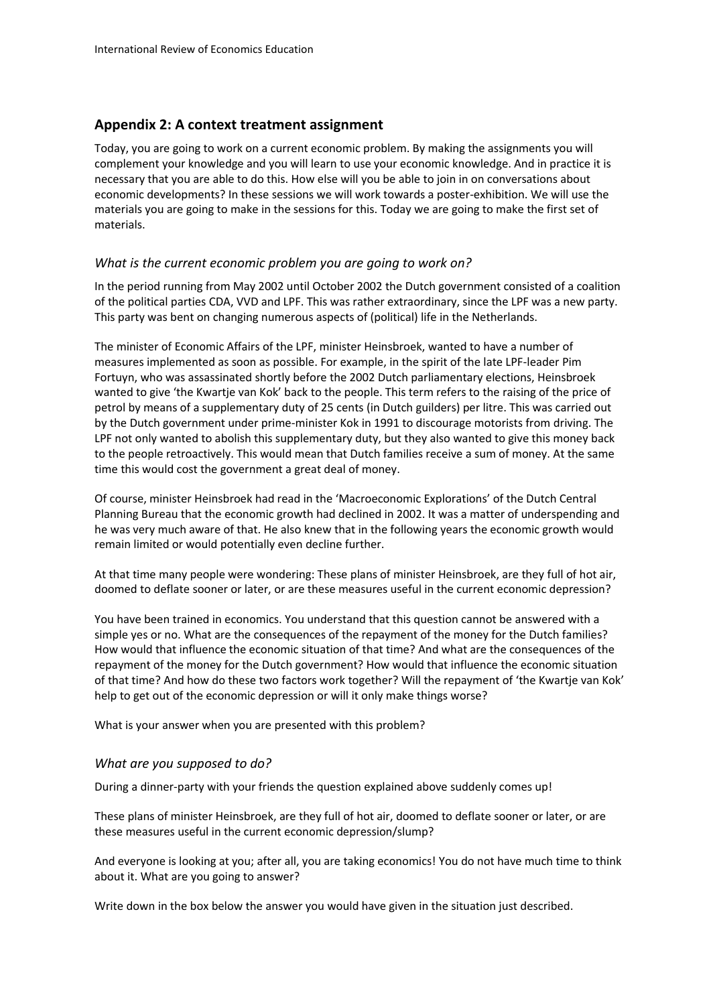## **Appendix 2: A context treatment assignment**

Today, you are going to work on a current economic problem. By making the assignments you will complement your knowledge and you will learn to use your economic knowledge. And in practice it is necessary that you are able to do this. How else will you be able to join in on conversations about economic developments? In these sessions we will work towards a poster-exhibition. We will use the materials you are going to make in the sessions for this. Today we are going to make the first set of materials.

### *What is the current economic problem you are going to work on?*

In the period running from May 2002 until October 2002 the Dutch government consisted of a coalition of the political parties CDA, VVD and LPF. This was rather extraordinary, since the LPF was a new party. This party was bent on changing numerous aspects of (political) life in the Netherlands.

The minister of Economic Affairs of the LPF, minister Heinsbroek, wanted to have a number of measures implemented as soon as possible. For example, in the spirit of the late LPF-leader Pim Fortuyn, who was assassinated shortly before the 2002 Dutch parliamentary elections, Heinsbroek wanted to give 'the Kwartje van Kok' back to the people. This term refers to the raising of the price of petrol by means of a supplementary duty of 25 cents (in Dutch guilders) per litre. This was carried out by the Dutch government under prime-minister Kok in 1991 to discourage motorists from driving. The LPF not only wanted to abolish this supplementary duty, but they also wanted to give this money back to the people retroactively. This would mean that Dutch families receive a sum of money. At the same time this would cost the government a great deal of money.

Of course, minister Heinsbroek had read in the 'Macroeconomic Explorations' of the Dutch Central Planning Bureau that the economic growth had declined in 2002. It was a matter of underspending and he was very much aware of that. He also knew that in the following years the economic growth would remain limited or would potentially even decline further.

At that time many people were wondering: These plans of minister Heinsbroek, are they full of hot air, doomed to deflate sooner or later, or are these measures useful in the current economic depression?

You have been trained in economics. You understand that this question cannot be answered with a simple yes or no. What are the consequences of the repayment of the money for the Dutch families? How would that influence the economic situation of that time? And what are the consequences of the repayment of the money for the Dutch government? How would that influence the economic situation of that time? And how do these two factors work together? Will the repayment of 'the Kwartje van Kok' help to get out of the economic depression or will it only make things worse?

What is your answer when you are presented with this problem?

#### *What are you supposed to do?*

During a dinner-party with your friends the question explained above suddenly comes up!

These plans of minister Heinsbroek, are they full of hot air, doomed to deflate sooner or later, or are these measures useful in the current economic depression/slump?

And everyone is looking at you; after all, you are taking economics! You do not have much time to think about it. What are you going to answer?

Write down in the box below the answer you would have given in the situation just described.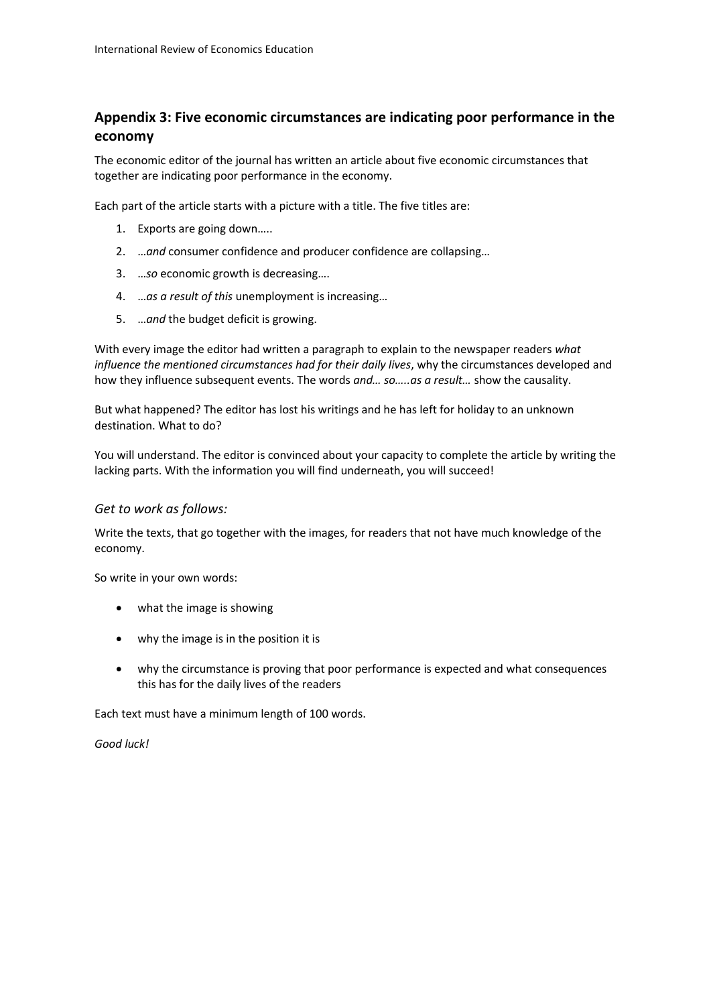# **Appendix 3: Five economic circumstances are indicating poor performance in the economy**

The economic editor of the journal has written an article about five economic circumstances that together are indicating poor performance in the economy.

Each part of the article starts with a picture with a title. The five titles are:

- 1. Exports are going down…..
- 2. …*and* consumer confidence and producer confidence are collapsing…
- 3. …*so* economic growth is decreasing….
- 4. …*as a result of this* unemployment is increasing…
- 5. …*and* the budget deficit is growing.

With every image the editor had written a paragraph to explain to the newspaper readers *what influence the mentioned circumstances had for their daily lives*, why the circumstances developed and how they influence subsequent events. The words *and… so…..as a result…* show the causality.

But what happened? The editor has lost his writings and he has left for holiday to an unknown destination. What to do?

You will understand. The editor is convinced about your capacity to complete the article by writing the lacking parts. With the information you will find underneath, you will succeed!

#### *Get to work as follows:*

Write the texts, that go together with the images, for readers that not have much knowledge of the economy.

So write in your own words:

- what the image is showing
- why the image is in the position it is
- why the circumstance is proving that poor performance is expected and what consequences this has for the daily lives of the readers

Each text must have a minimum length of 100 words.

*Good luck!*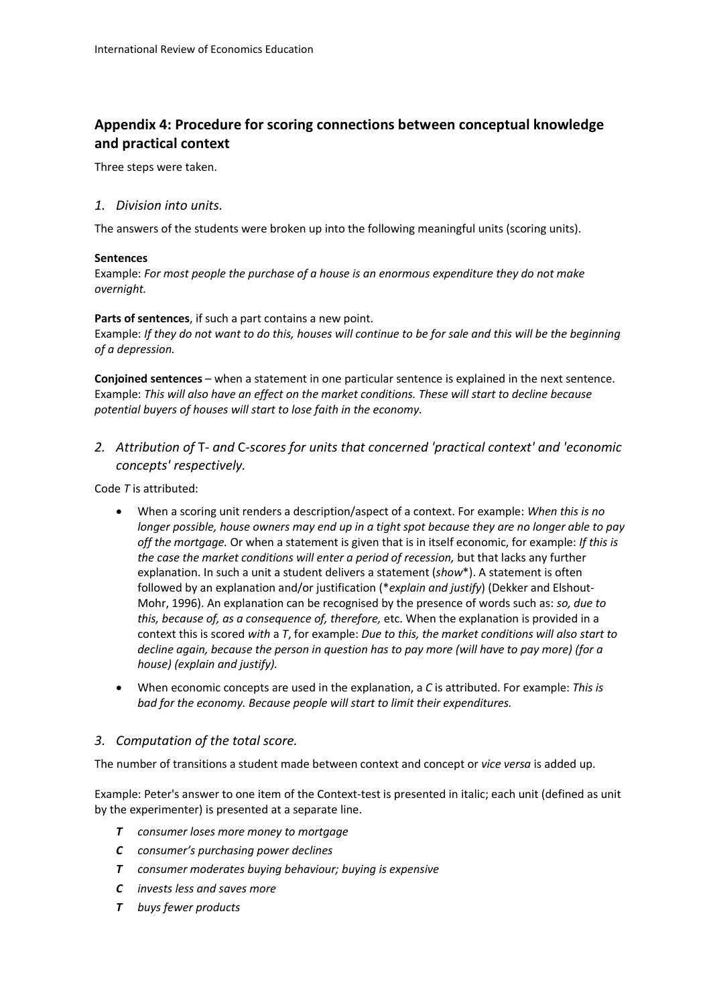# **Appendix 4: Procedure for scoring connections between conceptual knowledge and practical context**

Three steps were taken.

#### *1. Division into units.*

The answers of the students were broken up into the following meaningful units (scoring units).

#### **Sentences**

Example: *For most people the purchase of a house is an enormous expenditure they do not make overnight.*

#### **Parts of sentences**, if such a part contains a new point.

Example: *If they do not want to do this, houses will continue to be for sale and this will be the beginning of a depression.*

**Conjoined sentences** – when a statement in one particular sentence is explained in the next sentence. Example: *This will also have an effect on the market conditions. These will start to decline because potential buyers of houses will start to lose faith in the economy.*

*2. Attribution of* T*- and* C*-scores for units that concerned 'practical context' and 'economic concepts' respectively.*

Code *T* is attributed:

- When a scoring unit renders a description/aspect of a context. For example: *When this is no longer possible, house owners may end up in a tight spot because they are no longer able to pay off the mortgage.* Or when a statement is given that is in itself economic, for example: *If this is the case the market conditions will enter a period of recession,* but that lacks any further explanation. In such a unit a student delivers a statement (*show*\*). A statement is often followed by an explanation and/or justification (\**explain and justify*) (Dekker and Elshout-Mohr, 1996). An explanation can be recognised by the presence of words such as: *so, due to this, because of, as a consequence of, therefore,* etc. When the explanation is provided in a context this is scored *with* a *T*, for example: *Due to this, the market conditions will also start to decline again, because the person in question has to pay more (will have to pay more) (for a house) (explain and justify).*
- When economic concepts are used in the explanation, a *C* is attributed. For example: *This is bad for the economy. Because people will start to limit their expenditures.*

## *3. Computation of the total score.*

The number of transitions a student made between context and concept or *vice versa* is added up.

Example: Peter's answer to one item of the Context-test is presented in italic; each unit (defined as unit by the experimenter) is presented at a separate line.

- *T consumer loses more money to mortgage*
- *C consumer's purchasing power declines*
- *T consumer moderates buying behaviour; buying is expensive*
- *C invests less and saves more*
- *T buys fewer products*